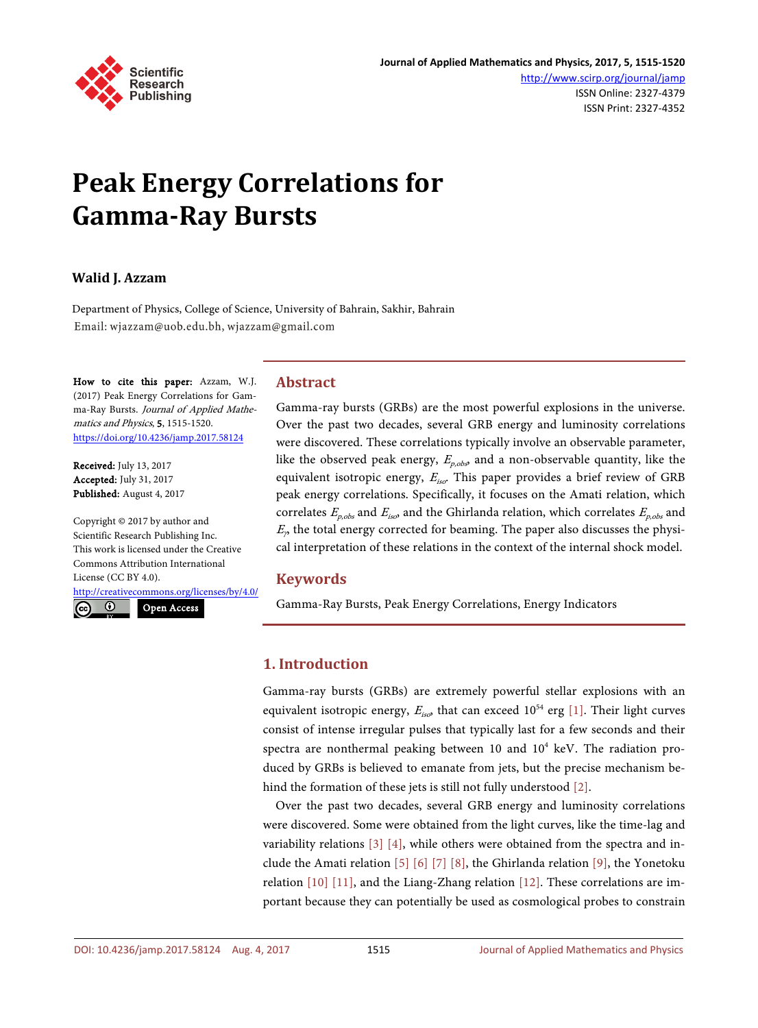

# **Peak Energy Correlations for Gamma-Ray Bursts**

# **Walid J. Azzam**

Department of Physics, College of Science, University of Bahrain, Sakhir, Bahrain Email: wjazzam@uob.edu.bh, wjazzam@gmail.com

How to cite this paper: Azzam, W.J. (2017) Peak Energy Correlations for Gamma-Ray Bursts. Journal of Applied Mathematics and Physics, 5, 1515-1520. <https://doi.org/10.4236/jamp.2017.58124>

Received: July 13, 2017 Accepted: July 31, 2017 Published: August 4, 2017

Copyright © 2017 by author and Scientific Research Publishing Inc. This work is licensed under the Creative Commons Attribution International License (CC BY 4.0).

<http://creativecommons.org/licenses/by/4.0/>

 $\odot$ Open Access

# **Abstract**

Gamma-ray bursts (GRBs) are the most powerful explosions in the universe. Over the past two decades, several GRB energy and luminosity correlations were discovered. These correlations typically involve an observable parameter, like the observed peak energy,  $E_{p,obs}$ , and a non-observable quantity, like the equivalent isotropic energy,  $E_{iso}$ . This paper provides a brief review of GRB peak energy correlations. Specifically, it focuses on the Amati relation, which correlates  $E_{n,obs}$  and  $E_{iso}$  and the Ghirlanda relation, which correlates  $E_{n,obs}$  and  $E<sub>p</sub>$ , the total energy corrected for beaming. The paper also discusses the physical interpretation of these relations in the context of the internal shock model.

# **Keywords**

Gamma-Ray Bursts, Peak Energy Correlations, Energy Indicators

# **1. Introduction**

Gamma-ray bursts (GRBs) are extremely powerful stellar explosions with an equivalent isotropic energy,  $E_{iso}$ , that can exceed  $10^{54}$  erg [\[1\].](#page-3-0) Their light curves consist of intense irregular pulses that typically last for a few seconds and their spectra are nonthermal peaking between 10 and  $10^4$  keV. The radiation produced by GRBs is believed to emanate from jets, but the precise mechanism behind the formation of these jets is still not fully understood [\[2\].](#page-3-1)

Over the past two decades, several GRB energy and luminosity correlations were discovered. Some were obtained from the light curves, like the time-lag and variability relations [\[3\]](#page-3-2) [\[4\],](#page-4-0) while others were obtained from the spectra and in-clude the Amati relation [\[5\]](#page-4-1) [\[6\]](#page-4-2) [\[7\]](#page-4-3) [\[8\],](#page-4-4) the Ghirlanda relation [\[9\],](#page-4-5) the Yonetoku relation [\[10\]](#page-4-6) [\[11\],](#page-4-7) and the Liang-Zhang relation [\[12\].](#page-4-8) These correlations are important because they can potentially be used as cosmological probes to constrain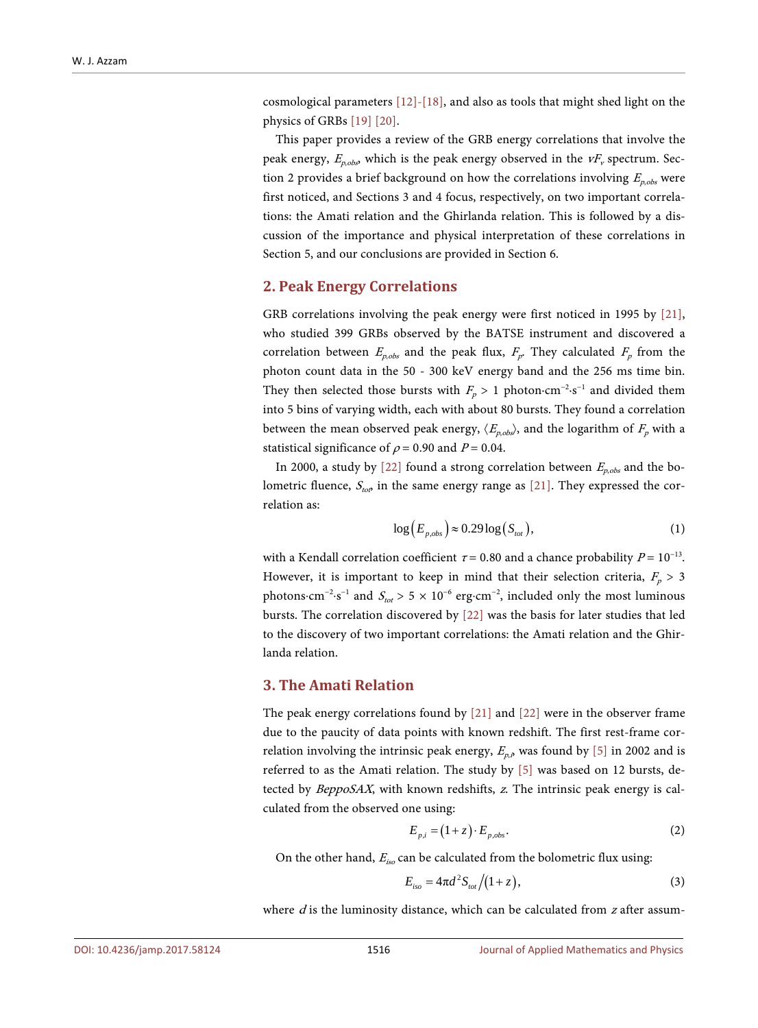cosmological parameters [\[12\]-](#page-4-8)[\[18\],](#page-4-9) and also as tools that might shed light on the physics of GRB[s \[19\]](#page-5-0) [\[20\].](#page-5-1)

This paper provides a review of the GRB energy correlations that involve the peak energy,  $E_{p,obs}$  which is the peak energy observed in the  $vF_v$  spectrum. Section 2 provides a brief background on how the correlations involving  $E_{p,obs}$  were first noticed, and Sections 3 and 4 focus, respectively, on two important correlations: the Amati relation and the Ghirlanda relation. This is followed by a discussion of the importance and physical interpretation of these correlations in Section 5, and our conclusions are provided in Section 6.

#### **2. Peak Energy Correlations**

GRB correlations involving the peak energy were first noticed in 1995 by [\[21\],](#page-5-2)  who studied 399 GRBs observed by the BATSE instrument and discovered a correlation between  $E_{p,obs}$  and the peak flux,  $F_p$ . They calculated  $F_p$  from the photon count data in the 50 - 300 keV energy band and the 256 ms time bin. They then selected those bursts with  $F_p > 1$  photon·cm<sup>-2</sup>·s<sup>-1</sup> and divided them into 5 bins of varying width, each with about 80 bursts. They found a correlation between the mean observed peak energy,  $\langle E_{p,obs} \rangle$ , and the logarithm of  $F_p$  with a statistical significance of  $\rho$  = 0.90 and  $P$  = 0.04.

In 2000, a study by [\[22\]](#page-5-3) found a strong correlation between  $E_{p,obs}$  and the bolometric fluence,  $S_{\text{top}}$  in the same energy range as [\[21\].](#page-5-2) They expressed the correlation as:

$$
\log(E_{p,obs}) \approx 0.29 \log(S_{tot}),\tag{1}
$$

with a Kendall correlation coefficient  $\tau = 0.80$  and a chance probability  $P = 10^{-13}$ . However, it is important to keep in mind that their selection criteria,  $F_p > 3$ photons⋅cm<sup>-2</sup>⋅s<sup>-1</sup> and  $S_{tot} > 5 \times 10^{-6}$  erg⋅cm<sup>-2</sup>, included only the most luminous bursts. The correlation discovered by [\[22\]](#page-5-3) was the basis for later studies that led to the discovery of two important correlations: the Amati relation and the Ghirlanda relation.

#### **3. The Amati Relation**

The peak energy correlations found by [\[21\]](#page-5-2) and [\[22\]](#page-5-3) were in the observer frame due to the paucity of data points with known redshift. The first rest-frame correlation involving the intrinsic peak energy,  $E_{p,\delta}$  was found by [\[5\]](#page-4-1) in 2002 and is referred to as the Amati relation. The study by [\[5\]](#page-4-1) was based on 12 bursts, detected by BeppoSAX, with known redshifts, z. The intrinsic peak energy is calculated from the observed one using:

$$
E_{p,i} = (1+z) \cdot E_{p,obs}.\tag{2}
$$

On the other hand,  $E_{iso}$  can be calculated from the bolometric flux using:

$$
E_{iso} = 4\pi d^2 S_{tot} / (1+z),
$$
\n(3)

where  $d$  is the luminosity distance, which can be calculated from  $z$  after assum-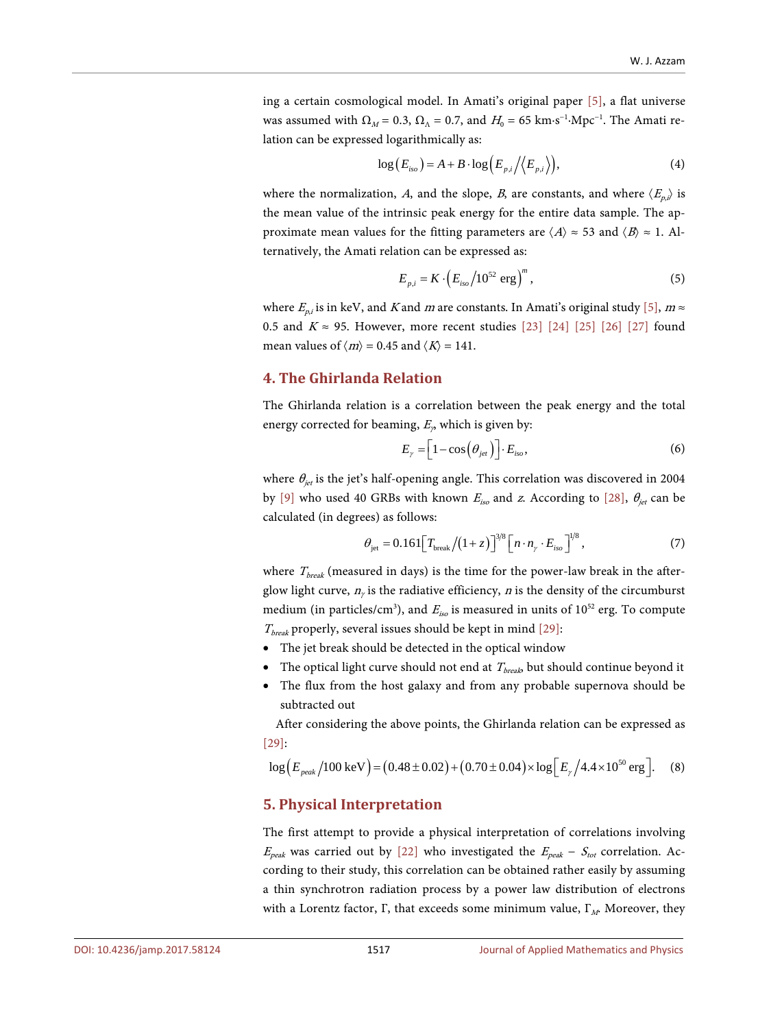ing a certain cosmological model. In Amati's original paper [\[5\],](#page-4-1) a flat universe was assumed with  $\Omega_M = 0.3$ ,  $\Omega_{\Lambda} = 0.7$ , and  $H_0 = 65$  km⋅s<sup>-1</sup>⋅Mpc<sup>-1</sup>. The Amati relation can be expressed logarithmically as:

$$
\log(E_{iso}) = A + B \cdot \log\Big(E_{p,i} / \Big\langle E_{p,i} \Big\rangle\Big),\tag{4}
$$

where the normalization, A, and the slope, B, are constants, and where  $\langle E_{p,i} \rangle$  is the mean value of the intrinsic peak energy for the entire data sample. The approximate mean values for the fitting parameters are  $\langle A \rangle \approx 53$  and  $\langle B \rangle \approx 1$ . Alternatively, the Amati relation can be expressed as:

$$
E_{p,i} = K \cdot \left( E_{iso} / 10^{52} \text{ erg} \right)^m,
$$
 (5)

where  $E_{p,i}$  is in keV, and K and m are constants. In Amati's original stud[y \[5\],](#page-4-1)  $m \approx$ 0.5 and  $K \approx 95$ . However, more recent studies [\[23\]](#page-5-4) [\[24\]](#page-5-5) [\[25\]](#page-5-6) [\[26\]](#page-5-7) [\[27\]](#page-5-8) found mean values of  $\langle m \rangle$  = 0.45 and  $\langle K \rangle$  = 141.

# **4. The Ghirlanda Relation**

The Ghirlanda relation is a correlation between the peak energy and the total energy corrected for beaming,  $E<sub>9</sub>$  which is given by:

$$
E_{\gamma} = \left[1 - \cos\left(\theta_{\text{jet}}\right)\right] \cdot E_{\text{iso}},\tag{6}
$$

where  $\theta_{jet}$  is the jet's half-opening angle. This correlation was discovered in 2004 by [\[9\]](#page-4-5) who used 40 GRBs with known  $E_{iso}$  and z. According to [\[28\],](#page-5-9)  $\theta_{jet}$  can be calculated (in degrees) as follows:

$$
\theta_{\rm jet} = 0.161 \Big[ T_{\rm break} / (1+z) \Big]^{3/8} \Big[ n \cdot n_{\gamma} \cdot E_{\rm iso} \Big]^{1/8},\tag{7}
$$

where  $T_{break}$  (measured in days) is the time for the power-law break in the afterglow light curve,  $n_{\gamma}$  is the radiative efficiency, *n* is the density of the circumburst medium (in particles/cm<sup>3</sup>), and  $E_{iso}$  is measured in units of 10<sup>52</sup> erg. To compute  $T_{break}$  properly, several issues should be kept in mind [\[29\]:](#page-5-10)

- The jet break should be detected in the optical window
- The optical light curve should not end at  $T_{break}$  but should continue beyond it
- The flux from the host galaxy and from any probable supernova should be subtracted out

After considering the above points, the Ghirlanda relation can be expressed as [\[29\]:](#page-5-10)

$$
\log \left( E_{\text{peak}} / 100 \text{ keV} \right) = (0.48 \pm 0.02) + (0.70 \pm 0.04) \times \log \left[ E_{\gamma} / 4.4 \times 10^{50} \text{ erg} \right]. \tag{8}
$$

#### **5. Physical Interpretation**

The first attempt to provide a physical interpretation of correlations involving  $E_{peak}$  was carried out by [\[22\]](#page-5-3) who investigated the  $E_{peak}$  –  $S_{tot}$  correlation. According to their study, this correlation can be obtained rather easily by assuming a thin synchrotron radiation process by a power law distribution of electrons with a Lorentz factor, Γ, that exceeds some minimum value,  $\Gamma_M$ . Moreover, they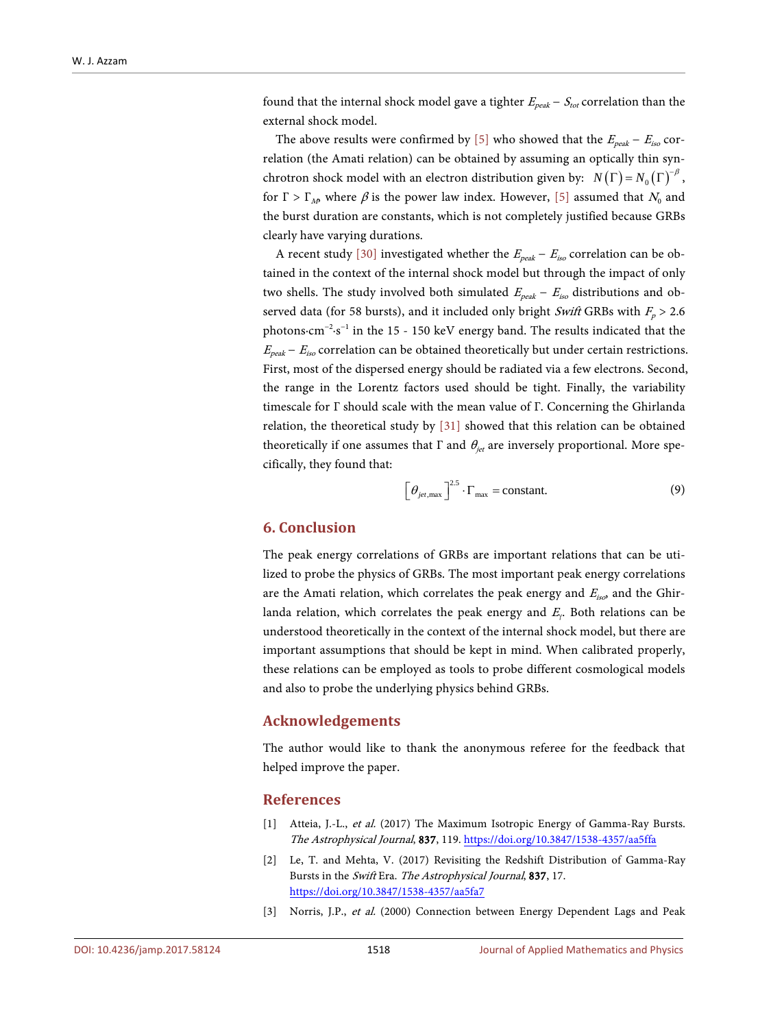found that the internal shock model gave a tighter  $E_{peak} - S_{tot}$  correlation than the external shock model.

The above results were confirmed by [\[5\]](#page-4-1) who showed that the  $E_{peak} - E_{iso}$  correlation (the Amati relation) can be obtained by assuming an optically thin synchrotron shock model with an electron distribution given by:  $N(\Gamma) = N_0(\Gamma)^{-\beta}$ , for  $\Gamma > \Gamma_M$ , where  $\beta$  is the power law index. However, [\[5\]](#page-4-1) assumed that  $N_0$  and the burst duration are constants, which is not completely justified because GRBs clearly have varying durations.

A recent study [\[30\]](#page-5-11) investigated whether the  $E_{peak} - E_{iso}$  correlation can be obtained in the context of the internal shock model but through the impact of only two shells. The study involved both simulated  $E_{peak}$  –  $E_{iso}$  distributions and observed data (for 58 bursts), and it included only bright Swift GRBs with  $F_p > 2.6$ photons⋅cm<sup>-2</sup>⋅s<sup>-1</sup> in the 15 - 150 keV energy band. The results indicated that the  $E_{peak} - E_{iso}$  correlation can be obtained theoretically but under certain restrictions. First, most of the dispersed energy should be radiated via a few electrons. Second, the range in the Lorentz factors used should be tight. Finally, the variability timescale for Γ should scale with the mean value of Γ. Concerning the Ghirlanda relation, the theoretical study by [\[31\]](#page-5-12) showed that this relation can be obtained theoretically if one assumes that  $\Gamma$  and  $\theta_{jet}$  are inversely proportional. More specifically, they found that:

$$
\left[\theta_{jet,\text{max}}\right]^{2.5}\cdot\Gamma_{\text{max}} = \text{constant.}\tag{9}
$$

#### **6. Conclusion**

The peak energy correlations of GRBs are important relations that can be utilized to probe the physics of GRBs. The most important peak energy correlations are the Amati relation, which correlates the peak energy and  $E_{iso}$  and the Ghirlanda relation, which correlates the peak energy and  $E<sub>Y</sub>$ . Both relations can be understood theoretically in the context of the internal shock model, but there are important assumptions that should be kept in mind. When calibrated properly, these relations can be employed as tools to probe different cosmological models and also to probe the underlying physics behind GRBs.

#### **Acknowledgements**

The author would like to thank the anonymous referee for the feedback that helped improve the paper.

#### **References**

- <span id="page-3-0"></span>[1] Atteia, J.-L., et al. (2017) The Maximum Isotropic Energy of Gamma-Ray Bursts. The Astrophysical Journal, 837, 119. <https://doi.org/10.3847/1538-4357/aa5ffa>
- <span id="page-3-1"></span>[2] Le, T. and Mehta, V. (2017) Revisiting the Redshift Distribution of Gamma-Ray Bursts in the Swift Era. The Astrophysical Journal, 837, 17. <https://doi.org/10.3847/1538-4357/aa5fa7>
- <span id="page-3-2"></span>[3] Norris, J.P., et al. (2000) Connection between Energy Dependent Lags and Peak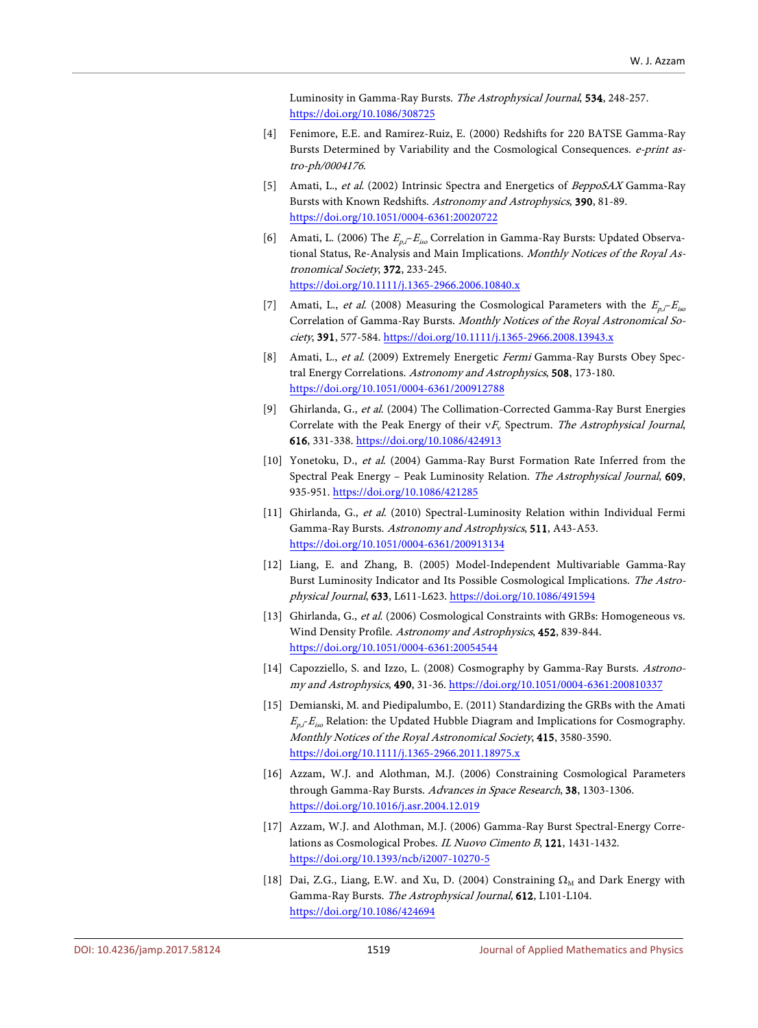Luminosity in Gamma-Ray Bursts. The Astrophysical Journal, 534, 248-257. <https://doi.org/10.1086/308725>

- <span id="page-4-0"></span>[4] Fenimore, E.E. and Ramirez-Ruiz, E. (2000) Redshifts for 220 BATSE Gamma-Ray Bursts Determined by Variability and the Cosmological Consequences. e-print astro-ph/0004176.
- <span id="page-4-1"></span>[5] Amati, L., et al. (2002) Intrinsic Spectra and Energetics of BeppoSAX Gamma-Ray Bursts with Known Redshifts. Astronomy and Astrophysics, 390, 81-89. <https://doi.org/10.1051/0004-6361:20020722>
- <span id="page-4-2"></span>[6] Amati, L. (2006) The  $E_{p,i}-E_{iso}$  Correlation in Gamma-Ray Bursts: Updated Observational Status, Re-Analysis and Main Implications. Monthly Notices of the Royal Astronomical Society, 372, 233-245. <https://doi.org/10.1111/j.1365-2966.2006.10840.x>
- <span id="page-4-3"></span>[7] Amati, L., et al. (2008) Measuring the Cosmological Parameters with the  $E_{p,i}-E_{iso}$ Correlation of Gamma-Ray Bursts. Monthly Notices of the Royal Astronomical Society, 391, 577-584[. https://doi.org/10.1111/j.1365-2966.2008.13943.x](https://doi.org/10.1111/j.1365-2966.2008.13943.x)
- <span id="page-4-4"></span>[8] Amati, L., et al. (2009) Extremely Energetic Fermi Gamma-Ray Bursts Obey Spectral Energy Correlations. Astronomy and Astrophysics, 508, 173-180. <https://doi.org/10.1051/0004-6361/200912788>
- <span id="page-4-5"></span>[9] Ghirlanda, G., et al. (2004) The Collimation-Corrected Gamma-Ray Burst Energies Correlate with the Peak Energy of their  $vF_v$  Spectrum. The Astrophysical Journal, 616, 331-338.<https://doi.org/10.1086/424913>
- <span id="page-4-6"></span>[10] Yonetoku, D., et al. (2004) Gamma-Ray Burst Formation Rate Inferred from the Spectral Peak Energy – Peak Luminosity Relation. The Astrophysical Journal, 609, 935-951[. https://doi.org/10.1086/421285](https://doi.org/10.1086/421285)
- <span id="page-4-7"></span>[11] Ghirlanda, G., et al. (2010) Spectral-Luminosity Relation within Individual Fermi Gamma-Ray Bursts. Astronomy and Astrophysics, 511, A43-A53. <https://doi.org/10.1051/0004-6361/200913134>
- <span id="page-4-8"></span>[12] Liang, E. and Zhang, B. (2005) Model-Independent Multivariable Gamma-Ray Burst Luminosity Indicator and Its Possible Cosmological Implications. The Astrophysical Journal, 633, L611-L623[. https://doi.org/10.1086/491594](https://doi.org/10.1086/491594)
- [13] Ghirlanda, G., et al. (2006) Cosmological Constraints with GRBs: Homogeneous vs. Wind Density Profile. Astronomy and Astrophysics, 452, 839-844. <https://doi.org/10.1051/0004-6361:20054544>
- [14] Capozziello, S. and Izzo, L. (2008) Cosmography by Gamma-Ray Bursts. Astronomy and Astrophysics, 490, 31-36.<https://doi.org/10.1051/0004-6361:200810337>
- [15] Demianski, M. and Piedipalumbo, E. (2011) Standardizing the GRBs with the Amati  $E_{n}E_{i\alpha}$  Relation: the Updated Hubble Diagram and Implications for Cosmography. Monthly Notices of the Royal Astronomical Society, 415, 3580-3590. <https://doi.org/10.1111/j.1365-2966.2011.18975.x>
- [16] Azzam, W.J. and Alothman, M.J. (2006) Constraining Cosmological Parameters through Gamma-Ray Bursts. Advances in Space Research, 38, 1303-1306. <https://doi.org/10.1016/j.asr.2004.12.019>
- [17] Azzam, W.J. and Alothman, M.J. (2006) Gamma-Ray Burst Spectral-Energy Correlations as Cosmological Probes. IL Nuovo Cimento B, 121, 1431-1432. <https://doi.org/10.1393/ncb/i2007-10270-5>
- <span id="page-4-9"></span>[18] Dai, Z.G., Liang, E.W. and Xu, D. (2004) Constraining  $\Omega_M$  and Dark Energy with Gamma-Ray Bursts. The Astrophysical Journal, 612, L101-L104. <https://doi.org/10.1086/424694>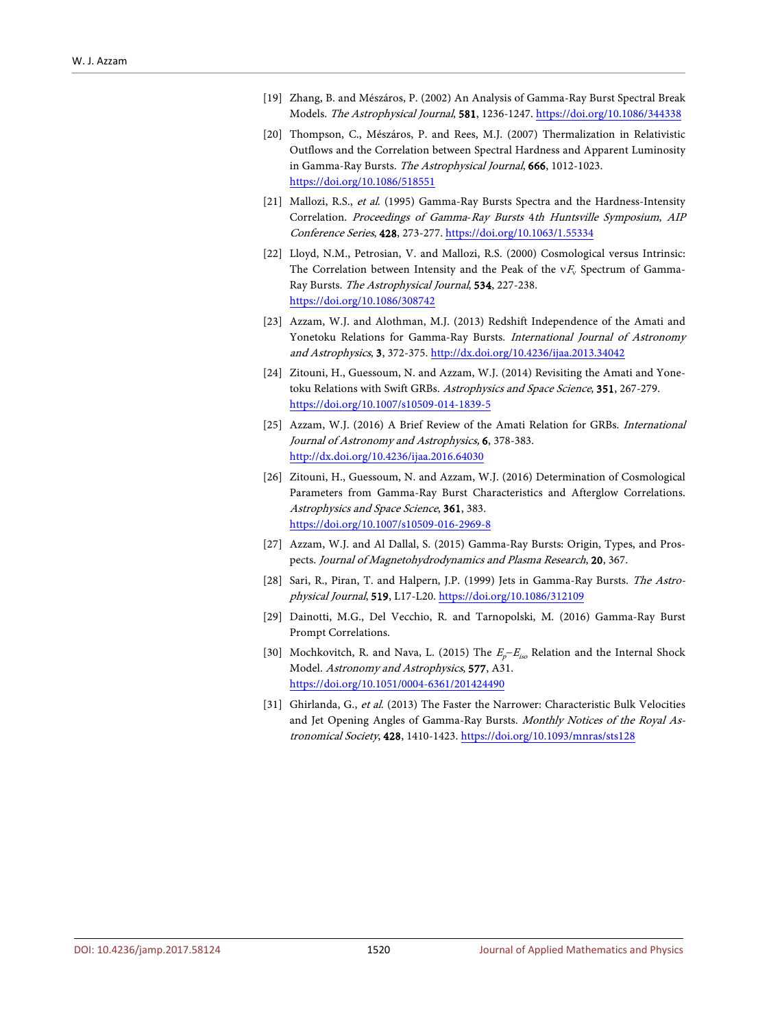- <span id="page-5-0"></span>[19] Zhang, B. and Mészáros, P. (2002) An Analysis of Gamma-Ray Burst Spectral Break Models. The Astrophysical Journal, 581, 1236-1247[. https://doi.org/10.1086/344338](https://doi.org/10.1086/344338)
- <span id="page-5-1"></span>[20] Thompson, C., Mészáros, P. and Rees, M.J. (2007) Thermalization in Relativistic Outflows and the Correlation between Spectral Hardness and Apparent Luminosity in Gamma-Ray Bursts. The Astrophysical Journal, 666, 1012-1023. <https://doi.org/10.1086/518551>
- <span id="page-5-2"></span>[21] Mallozi, R.S., et al. (1995) Gamma-Ray Bursts Spectra and the Hardness-Intensity Correlation. Proceedings of Gamma-Ray Bursts 4th Huntsville Symposium, AIP Conference Series, 428, 273-277[. https://doi.org/10.1063/1.55334](https://doi.org/10.1063/1.55334)
- <span id="page-5-3"></span>[22] Lloyd, N.M., Petrosian, V. and Mallozi, R.S. (2000) Cosmological versus Intrinsic: The Correlation between Intensity and the Peak of the  $vF_v$  Spectrum of Gamma-Ray Bursts. The Astrophysical Journal, 534, 227-238. <https://doi.org/10.1086/308742>
- <span id="page-5-4"></span>[23] Azzam, W.J. and Alothman, M.J. (2013) Redshift Independence of the Amati and Yonetoku Relations for Gamma-Ray Bursts. International Journal of Astronomy and Astrophysics, 3, 372-375. <http://dx.doi.org/10.4236/ijaa.2013.34042>
- <span id="page-5-5"></span>[24] Zitouni, H., Guessoum, N. and Azzam, W.J. (2014) Revisiting the Amati and Yonetoku Relations with Swift GRBs. Astrophysics and Space Science, 351, 267-279. <https://doi.org/10.1007/s10509-014-1839-5>
- <span id="page-5-6"></span>[25] Azzam, W.J. (2016) A Brief Review of the Amati Relation for GRBs. International Journal of Astronomy and Astrophysics, 6, 378-383. <http://dx.doi.org/10.4236/ijaa.2016.64030>
- <span id="page-5-7"></span>[26] Zitouni, H., Guessoum, N. and Azzam, W.J. (2016) Determination of Cosmological Parameters from Gamma-Ray Burst Characteristics and Afterglow Correlations. Astrophysics and Space Science, 361, 383. <https://doi.org/10.1007/s10509-016-2969-8>
- <span id="page-5-8"></span>[27] Azzam, W.J. and Al Dallal, S. (2015) Gamma-Ray Bursts: Origin, Types, and Prospects. Journal of Magnetohydrodynamics and Plasma Research, 20, 367.
- <span id="page-5-9"></span>[28] Sari, R., Piran, T. and Halpern, J.P. (1999) Jets in Gamma-Ray Bursts. The Astrophysical Journal, 519, L17-L20.<https://doi.org/10.1086/312109>
- <span id="page-5-10"></span>[29] Dainotti, M.G., Del Vecchio, R. and Tarnopolski, M. (2016) Gamma-Ray Burst Prompt Correlations.
- <span id="page-5-11"></span>[30] Mochkovitch, R. and Nava, L. (2015) The  $E_p-E_{iso}$  Relation and the Internal Shock Model. Astronomy and Astrophysics, 577, A31. <https://doi.org/10.1051/0004-6361/201424490>
- <span id="page-5-12"></span>[31] Ghirlanda, G., et al. (2013) The Faster the Narrower: Characteristic Bulk Velocities and Jet Opening Angles of Gamma-Ray Bursts. Monthly Notices of the Royal Astronomical Society, 428, 1410-1423[. https://doi.org/10.1093/mnras/sts128](https://doi.org/10.1093/mnras/sts128)